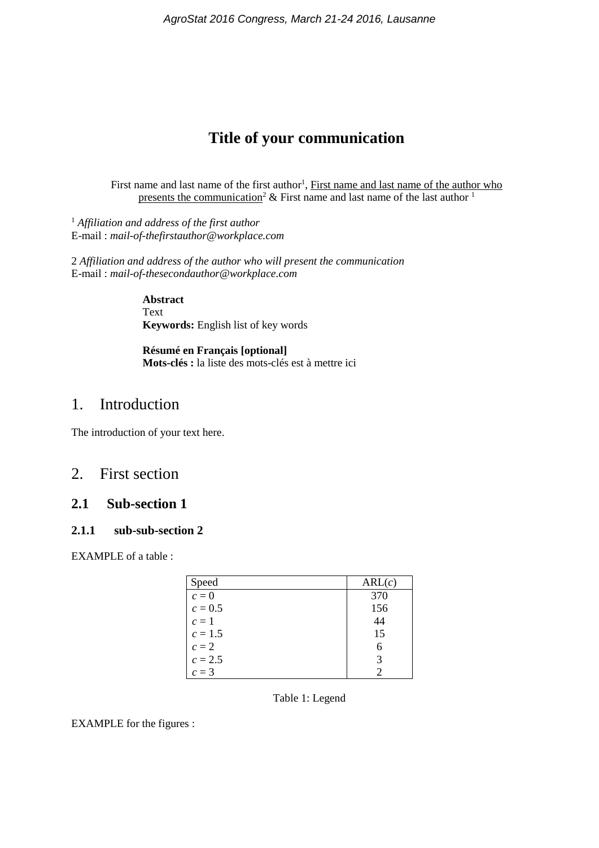# **Title of your communication**

First name and last name of the first author<sup>1</sup>, First name and last name of the author who presents the communication<sup>2</sup> & First name and last name of the last author  $\frac{1}{1}$ 

<sup>1</sup> *Affiliation and address of the first author* E-mail : *mail-of-thefirstauthor@workplace.com*

2 *Affiliation and address of the author who will present the communication* E-mail : *mail-of-thesecondauthor@workplace.com*

> **Abstract** Text **Keywords:** English list of key words

**Résumé en Français [optional] Mots-clés :** la liste des mots-clés est à mettre ici

## 1. Introduction

The introduction of your text here.

## 2. First section

### **2.1 Sub-section 1**

#### **2.1.1 sub-sub-section 2**

EXAMPLE of a table :

| Speed     | ARL(c) |
|-----------|--------|
| $c=0$     | 370    |
| $c = 0.5$ | 156    |
| $c=1$     | 44     |
| $c = 1.5$ | 15     |
| $c=2$     | 6      |
| $c = 2.5$ |        |
| $c=3$     |        |

Table 1: Legend

EXAMPLE for the figures :